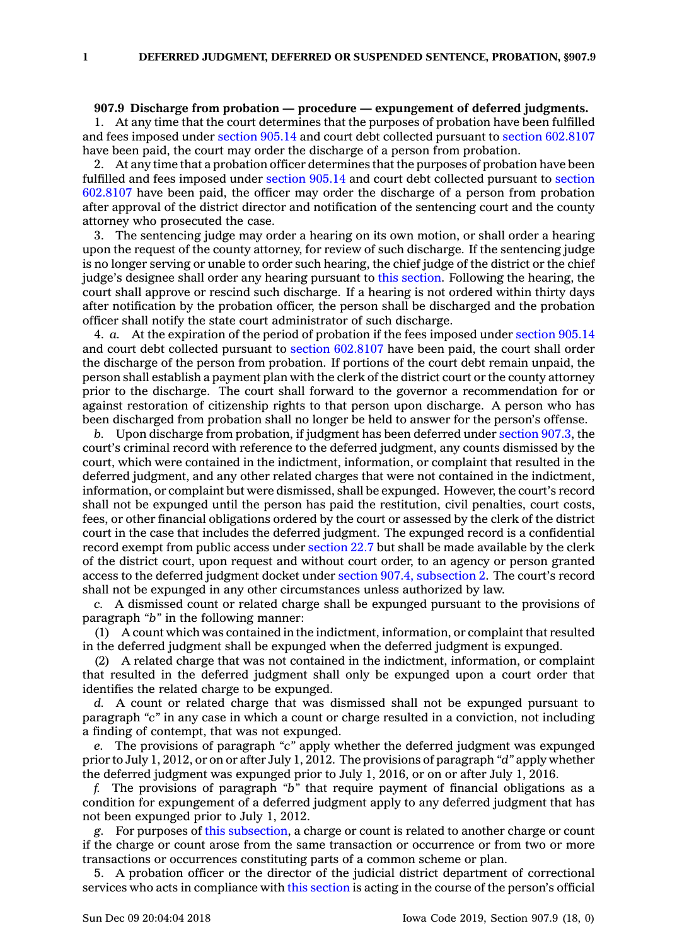## **907.9 Discharge from probation — procedure — expungement of deferred judgments.**

1. At any time that the court determines that the purposes of probation have been fulfilled and fees imposed under [section](https://www.legis.iowa.gov/docs/code/905.14.pdf) 905.14 and court debt collected pursuant to section [602.8107](https://www.legis.iowa.gov/docs/code/602.8107.pdf) have been paid, the court may order the discharge of <sup>a</sup> person from probation.

2. At any time that <sup>a</sup> probation officer determines that the purposes of probation have been fulfilled and fees imposed under [section](https://www.legis.iowa.gov/docs/code/905.14.pdf) 905.14 and court debt collected pursuant to [section](https://www.legis.iowa.gov/docs/code/602.8107.pdf) [602.8107](https://www.legis.iowa.gov/docs/code/602.8107.pdf) have been paid, the officer may order the discharge of <sup>a</sup> person from probation after approval of the district director and notification of the sentencing court and the county attorney who prosecuted the case.

The sentencing judge may order a hearing on its own motion, or shall order a hearing upon the request of the county attorney, for review of such discharge. If the sentencing judge is no longer serving or unable to order such hearing, the chief judge of the district or the chief judge's designee shall order any hearing pursuant to this [section](https://www.legis.iowa.gov/docs/code/907.9.pdf). Following the hearing, the court shall approve or rescind such discharge. If <sup>a</sup> hearing is not ordered within thirty days after notification by the probation officer, the person shall be discharged and the probation officer shall notify the state court administrator of such discharge.

4. *a.* At the expiration of the period of probation if the fees imposed under [section](https://www.legis.iowa.gov/docs/code/905.14.pdf) 905.14 and court debt collected pursuant to section [602.8107](https://www.legis.iowa.gov/docs/code/602.8107.pdf) have been paid, the court shall order the discharge of the person from probation. If portions of the court debt remain unpaid, the person shall establish <sup>a</sup> payment plan with the clerk of the district court or the county attorney prior to the discharge. The court shall forward to the governor <sup>a</sup> recommendation for or against restoration of citizenship rights to that person upon discharge. A person who has been discharged from probation shall no longer be held to answer for the person's offense.

*b.* Upon discharge from probation, if judgment has been deferred under [section](https://www.legis.iowa.gov/docs/code/907.3.pdf) 907.3, the court's criminal record with reference to the deferred judgment, any counts dismissed by the court, which were contained in the indictment, information, or complaint that resulted in the deferred judgment, and any other related charges that were not contained in the indictment, information, or complaint but were dismissed, shall be expunged. However, the court's record shall not be expunged until the person has paid the restitution, civil penalties, court costs, fees, or other financial obligations ordered by the court or assessed by the clerk of the district court in the case that includes the deferred judgment. The expunged record is <sup>a</sup> confidential record exempt from public access under [section](https://www.legis.iowa.gov/docs/code/22.7.pdf) 22.7 but shall be made available by the clerk of the district court, upon request and without court order, to an agency or person granted access to the deferred judgment docket under section 907.4, [subsection](https://www.legis.iowa.gov/docs/code/907.4.pdf) 2. The court's record shall not be expunged in any other circumstances unless authorized by law.

*c.* A dismissed count or related charge shall be expunged pursuant to the provisions of paragraph *"b"* in the following manner:

(1) A count which was contained in the indictment, information, or complaint that resulted in the deferred judgment shall be expunged when the deferred judgment is expunged.

(2) A related charge that was not contained in the indictment, information, or complaint that resulted in the deferred judgment shall only be expunged upon <sup>a</sup> court order that identifies the related charge to be expunged.

*d.* A count or related charge that was dismissed shall not be expunged pursuant to paragraph *"c"* in any case in which <sup>a</sup> count or charge resulted in <sup>a</sup> conviction, not including <sup>a</sup> finding of contempt, that was not expunged.

*e.* The provisions of paragraph *"c"* apply whether the deferred judgment was expunged prior to July 1, 2012, or on or after July 1, 2012. The provisions of paragraph *"d"* apply whether the deferred judgment was expunged prior to July 1, 2016, or on or after July 1, 2016.

*f.* The provisions of paragraph *"b"* that require payment of financial obligations as <sup>a</sup> condition for expungement of <sup>a</sup> deferred judgment apply to any deferred judgment that has not been expunged prior to July 1, 2012.

*g.* For purposes of this [subsection](https://www.legis.iowa.gov/docs/code/907.9.pdf), <sup>a</sup> charge or count is related to another charge or count if the charge or count arose from the same transaction or occurrence or from two or more transactions or occurrences constituting parts of <sup>a</sup> common scheme or plan.

5. A probation officer or the director of the judicial district department of correctional services who acts in compliance with this [section](https://www.legis.iowa.gov/docs/code/907.9.pdf) is acting in the course of the person's official